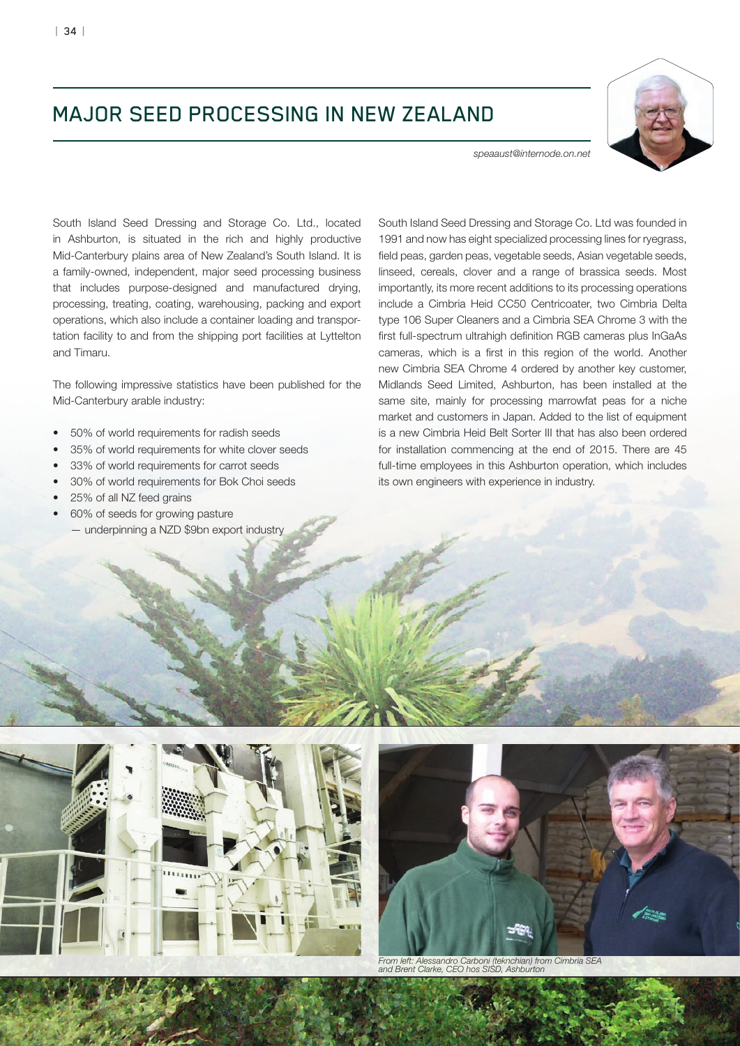## MAJOR SEED PROCESSING IN NEW ZEALAND



*speaaust@internode.on.net*

South Island Seed Dressing and Storage Co. Ltd., located in Ashburton, is situated in the rich and highly productive Mid-Canterbury plains area of New Zealand's South Island. It is a family-owned, independent, major seed processing business that includes purpose-designed and manufactured drying, processing, treating, coating, warehousing, packing and export operations, which also include a container loading and transportation facility to and from the shipping port facilities at Lyttelton and Timaru.

The following impressive statistics have been published for the Mid-Canterbury arable industry:

- 50% of world requirements for radish seeds
- 35% of world requirements for white clover seeds
- 33% of world requirements for carrot seeds
- 30% of world requirements for Bok Choi seeds
- 25% of all NZ feed grains
- 60% of seeds for growing pasture
- underpinning a NZD \$9bn export industry

South Island Seed Dressing and Storage Co. Ltd was founded in 1991 and now has eight specialized processing lines for ryegrass, field peas, garden peas, vegetable seeds, Asian vegetable seeds, linseed, cereals, clover and a range of brassica seeds. Most importantly, its more recent additions to its processing operations include a Cimbria Heid CC50 Centricoater, two Cimbria Delta type 106 Super Cleaners and a Cimbria SEA Chrome 3 with the first full-spectrum ultrahigh definition RGB cameras plus InGaAs cameras, which is a first in this region of the world. Another new Cimbria SEA Chrome 4 ordered by another key customer, Midlands Seed Limited, Ashburton, has been installed at the same site, mainly for processing marrowfat peas for a niche market and customers in Japan. Added to the list of equipment is a new Cimbria Heid Belt Sorter III that has also been ordered for installation commencing at the end of 2015. There are 45 full-time employees in this Ashburton operation, which includes its own engineers with experience in industry.





*From left: Alessandro Carboni (teknchian) from Cimbria SEA and Brent Clarke, CEO hos SISD, Ashburton*